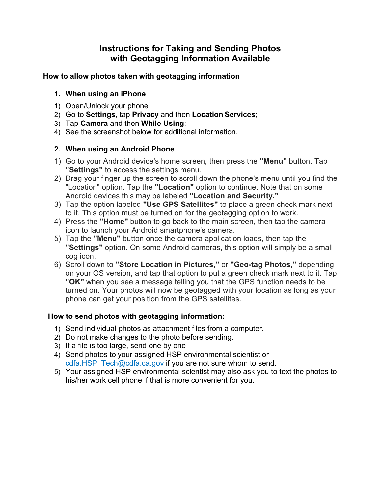# **with Geotagging Information Available Instructions for Taking and Sending Photos**

#### **How to allow photos taken with geotagging information**

## **1. When using an iPhone**

- 1) Open/Unlock your phone
- 2) Go to **Settings**, tap **Privacy** and then **Location Services**;
- 3) Tap **Camera** and then **While Using**;
- 4) See the screenshot below for additional information.

## **2. When using an Android Phone**

- 1) Go to your Android device's home screen, then press the **"Menu"** button. Tap **"Settings"** to access the settings menu.
- Android devices this may be labeled **"Location and Security."**  2) Drag your finger up the screen to scroll down the phone's menu until you find the "Location" option. Tap the **"Location"** option to continue. Note that on some
- 3) Tap the option labeled **"Use GPS Satellites"** to place a green check mark next to it. This option must be turned on for the geotagging option to work.
- 4) Press the **"Home"** button to go back to the main screen, then tap the camera icon to launch your Android smartphone's camera.
- **"Settings"** option. On some Android cameras, this option will simply be a small 5) Tap the **"Menu"** button once the camera application loads, then tap the cog icon.
- on your OS version, and tap that option to put a green check mark next to it. Tap **"OK"** when you see a message telling you that the GPS function needs to be 6) Scroll down to **"Store Location in Pictures,"** or **"Geo-tag Photos,"** depending turned on. Your photos will now be geotagged with your location as long as your phone can get your position from the GPS satellites.

## **How to send photos with geotagging information:**

- 1) Send individual photos as attachment files from a computer.
- 2) Do not make changes to the photo before sending.
- 3) If a file is too large, send one by one
- 4) Send photos to your assigned HSP environmental scientist or [cdfa.HSP\\_Tech@cdfa.ca.gov](mailto:cdfa.HSP_Tech@cdfa.ca.gov) if you are not sure whom to send.
- 5) Your assigned HSP environmental scientist may also ask you to text the photos to his/her work cell phone if that is more convenient for you.